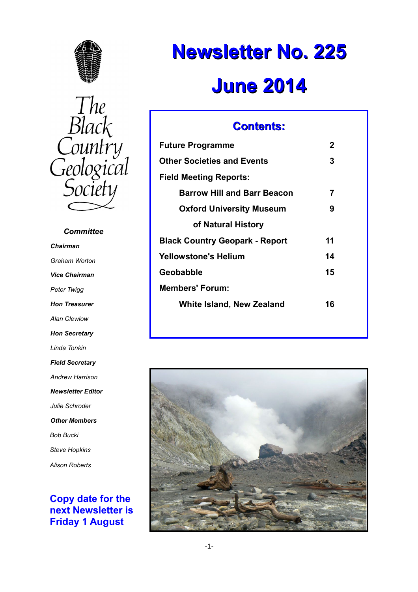



 *Committee Chairman Graham Worton Vice Chairman Peter Twigg Hon Treasurer Alan Clewlow Hon Secretary Linda Tonkin Field Secretary Andrew Harrison Newsletter Editor Julie Schroder Other Members Bob Bucki Steve Hopkins Alison Roberts*

# **Copy date for the next Newsletter is Friday 1 August**

# **Newsletter No. 225 June 2014**

# **Contents:**

| <b>Future Programme</b>               | 2  |
|---------------------------------------|----|
| <b>Other Societies and Events</b>     | 3  |
| Field Meeting Reports:                |    |
| <b>Barrow Hill and Barr Beacon</b>    | 7  |
| <b>Oxford University Museum</b>       | 9  |
| of Natural History                    |    |
| <b>Black Country Geopark - Report</b> | 11 |
| Yellowstone's Helium                  | 14 |
| Geobabble                             | 15 |
| <b>Members' Forum:</b>                |    |
| <b>White Island, New Zealand</b>      | 16 |
|                                       |    |

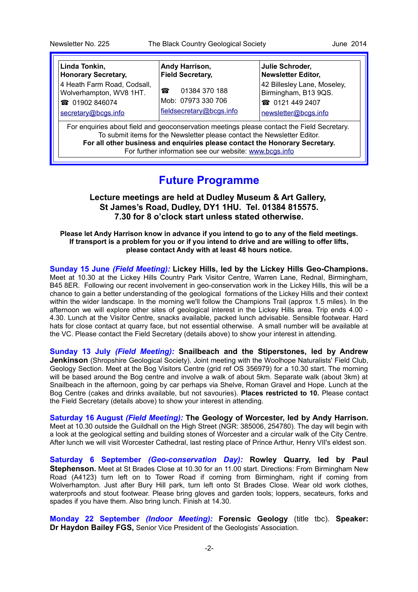| Linda Tonkin,                                                                                                                                                          | Andy Harrison,           | Julie Schroder,             |
|------------------------------------------------------------------------------------------------------------------------------------------------------------------------|--------------------------|-----------------------------|
| <b>Honorary Secretary,</b>                                                                                                                                             | <b>Field Secretary,</b>  | <b>Newsletter Editor,</b>   |
| 4 Heath Farm Road, Codsall,                                                                                                                                            | 01384 370 188            | 42 Billesley Lane, Moseley, |
| Wolverhampton, WV8 1HT.                                                                                                                                                | 喬                        | Birmingham, B13 9QS.        |
| <b>@</b> 01902 846074                                                                                                                                                  | Mob: 07973 330 706       | <b>@</b> 0121 449 2407      |
| secretary@bcgs.info                                                                                                                                                    | fieldsecretary@bcgs.info | newsletter@bcgs.info        |
| For enquiries about field and geoconservation meetings please contact the Field Secretary.<br>To submit items for the Newsletter please contact the Newsletter Editor. |                          |                             |

**For all other business and enquiries please contact the Honorary Secretary.** For further information see our website: [www.bcgs.info](http://www.bcgs.info/)

# **Future Programme**

**Lecture meetings are held at Dudley Museum & Art Gallery, St James's Road, Dudley, DY1 1HU. Tel. 01384 815575. 7.30 for 8 o'clock start unless stated otherwise.**

**Please let Andy Harrison know in advance if you intend to go to any of the field meetings. If transport is a problem for you or if you intend to drive and are willing to offer lifts, please contact Andy with at least 48 hours notice.**

**Sunday 15 June** *(Field Meeting):* **Lickey Hills, led by the Lickey Hills Geo-Champions.** Meet at 10.30 at the Lickey Hills Country Park Visitor Centre, Warren Lane, Rednal, Birmingham, B45 8ER. Following our recent involvement in geo-conservation work in the Lickey Hills, this will be a chance to gain a better understanding of the geological formations of the Lickey Hills and their context within the wider landscape. In the morning we'll follow the Champions Trail (approx 1.5 miles). In the afternoon we will explore other sites of geological interest in the Lickey Hills area. Trip ends 4.00 - 4.30. Lunch at the Visitor Centre, snacks available, packed lunch advisable. Sensible footwear. Hard hats for close contact at quarry face, but not essential otherwise. A small number will be available at the VC. Please contact the Field Secretary (details above) to show your interest in attending.

**Sunday 13 July** *(Field Meeting):* **Snailbeach and the Stiperstones, led by Andrew Jenkinson** (Shropshire Geological Society). Joint meeting with the Woolhope Naturalists' Field Club, Geology Section. Meet at the Bog Visitors Centre (grid ref OS 356979) for a 10.30 start. The morning will be based around the Bog centre and involve a walk of about 5km. Separate walk (about 3km) at Snailbeach in the afternoon, going by car perhaps via Shelve, Roman Gravel and Hope. Lunch at the Bog Centre (cakes and drinks available, but not savouries). **Places restricted to 10.** Please contact the Field Secretary (details above) to show your interest in attending.

**Saturday 16 August** *(Field Meeting):* **The Geology of Worcester, led by Andy Harrison.** Meet at 10.30 outside the Guildhall on the High Street (NGR: 385006, 254780). The day will begin with a look at the geological setting and building stones of Worcester and a circular walk of the City Centre. After lunch we will visit Worcester Cathedral, last resting place of Prince Arthur, Henry VII's eldest son.

**Saturday 6 September** *(Geo-conservation Day):* **Rowley Quarry, led by Paul Stephenson.** Meet at St Brades Close at 10.30 for an 11.00 start. Directions: From Birmingham New Road (A4123) turn left on to Tower Road if coming from Birmingham, right if coming from Wolverhampton. Just after Bury Hill park, turn left onto St Brades Close. Wear old work clothes, waterproofs and stout footwear. Please bring gloves and garden tools; loppers, secateurs, forks and spades if you have them. Also bring lunch. Finish at 14.30.

**Monday 22 September** *(Indoor Meeting):* **Forensic Geology** (title tbc). **Speaker: Dr Haydon Bailey FGS,** Senior Vice President of the Geologists' Association.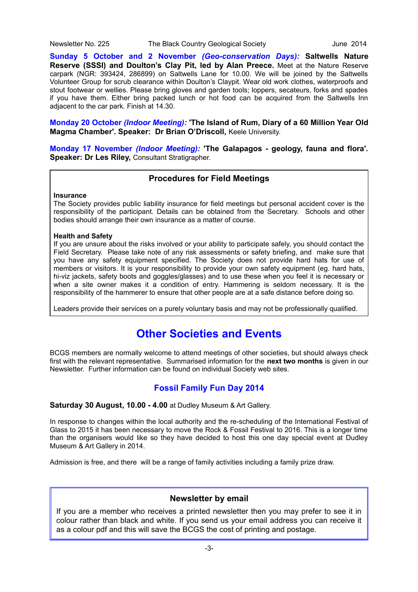**Sunday 5 October and 2 November** *(Geo-conservation Days):* **Saltwells Nature Reserve (SSSI) and Doulton's Clay Pit, led by Alan Preece.** Meet at the Nature Reserve carpark (NGR: 393424, 286899) on Saltwells Lane for 10.00. We will be joined by the Saltwells Volunteer Group for scrub clearance within Doulton's Claypit. Wear old work clothes, waterproofs and stout footwear or wellies. Please bring gloves and garden tools; loppers, secateurs, forks and spades if you have them. Either bring packed lunch or hot food can be acquired from the Saltwells Inn adjacent to the car park. Finish at 14.30.

**Monday 20 October** *(Indoor Meeting):* **'The Island of Rum, Diary of a 60 Million Year Old Magma Chamber'. Speaker: Dr Brian O'Driscoll,** Keele University.

**Monday 17 November** *(Indoor Meeting):* **'The Galapagos - geology, fauna and flora'. Speaker: Dr Les Riley,** Consultant Stratigrapher.

# **Procedures for Field Meetings**

#### **Insurance**

The Society provides public liability insurance for field meetings but personal accident cover is the responsibility of the participant. Details can be obtained from the Secretary. Schools and other bodies should arrange their own insurance as a matter of course.

# **Health and Safety**

If you are unsure about the risks involved or your ability to participate safely, you should contact the Field Secretary. Please take note of any risk assessments or safety briefing, and make sure that you have any safety equipment specified. The Society does not provide hard hats for use of members or visitors. It is your responsibility to provide your own safety equipment (eg. hard hats, hi-viz jackets, safety boots and goggles/glasses) and to use these when you feel it is necessary or when a site owner makes it a condition of entry. Hammering is seldom necessary. It is the responsibility of the hammerer to ensure that other people are at a safe distance before doing so.

Leaders provide their services on a purely voluntary basis and may not be professionally qualified.

# **Other Societies and Events**

BCGS members are normally welcome to attend meetings of other societies, but should always check first with the relevant representative. Summarised information for the **next two months** is given in our Newsletter. Further information can be found on individual Society web sites.

# **Fossil Family Fun Day 2014**

# **Saturday 30 August, 10.00 - 4.00** at Dudley Museum & Art Gallery.

In response to changes within the local authority and the re-scheduling of the International Festival of Glass to 2015 it has been necessary to move the Rock & Fossil Festival to 2016. This is a longer time than the organisers would like so they have decided to host this one day special event at Dudley Museum & Art Gallery in 2014.

Admission is free, and there will be a range of family activities including a family prize draw.

# **Newsletter by email**

If you are a member who receives a printed newsletter then you may prefer to see it in colour rather than black and white. If you send us your email address you can receive it as a colour pdf and this will save the BCGS the cost of printing and postage.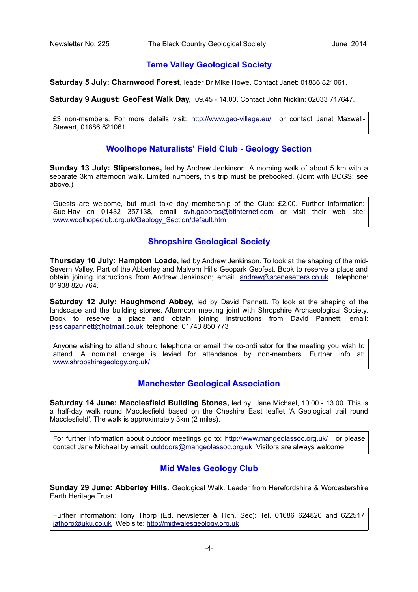# **Teme Valley Geological Society**

**Saturday 5 July: Charnwood Forest,** leader Dr Mike Howe. Contact Janet: 01886 821061.

**Saturday 9 August: GeoFest Walk Day,** 09.45 - 14.00. Contact John Nicklin: 02033 717647.

£3 non-members. For more details visit:<http://www.geo-village.eu/>or contact Janet Maxwell-Stewart, 01886 821061

# **Woolhope Naturalists' Field Club - Geology Section**

**Sunday 13 July: Stiperstones,** led by Andrew Jenkinson. A morning walk of about 5 km with a separate 3km afternoon walk. Limited numbers, this trip must be prebooked. (Joint with BCGS: see above.)

Guests are welcome, but must take day membership of the Club: £2.00. Further information: Sue Hay on 01432 357138, email [svh.gabbros@btinternet.com](mailto:svh.gabbros@btinternet.com) or visit their web site: [www.woolhopeclub.org.uk/Geology\\_Section/default.htm](http://www.woolhopeclub.org.uk/Geology_Section/default.htm)

# **Shropshire Geological Society**

**Thursday 10 July: Hampton Loade,** led by Andrew Jenkinson. To look at the shaping of the mid-Severn Valley. Part of the Abberley and Malvern Hills Geopark Geofest. Book to reserve a place and obtain joining instructions from Andrew Jenkinson; email: [andrew@scenesetters.co.uk](mailto:andrew@scenesetters.co.uk) telephone: 01938 820 764.

**Saturday 12 July: Haughmond Abbey,** led by David Pannett. To look at the shaping of the landscape and the building stones. Afternoon meeting joint with Shropshire Archaeological Society. Book to reserve a place and obtain joining instructions from David Pannett; email: [jessicapannett@hotmail.co.uk](mailto:jessicapannett@hotmail.co.uk) telephone: 01743 850 773

Anyone wishing to attend should telephone or email the co-ordinator for the meeting you wish to attend. A nominal charge is levied for attendance by non-members. Further info at: [www.shropshiregeology.org.uk/](http://www.shropshiregeology.org.uk/)

# **Manchester Geological Association**

**Saturday 14 June: Macclesfield Building Stones,** led by Jane Michael, 10.00 - 13.00. This is a half-day walk round Macclesfield based on the Cheshire East leaflet 'A Geological trail round Macclesfield'. The walk is approximately 3km (2 miles).

For further information about outdoor meetings go to:<http://www.mangeolassoc.org.uk/>or please contact Jane Michael by email: [outdoors@mangeolassoc.org.uk](mailto:outdoors@mangeolassoc.org.uk) Visitors are always welcome.

# **Mid Wales Geology Club**

**Sunday 29 June: Abberley Hills.** Geological Walk. Leader from Herefordshire & Worcestershire Earth Heritage Trust.

Further information: Tony Thorp (Ed. newsletter & Hon. Sec): Tel. 01686 624820 and 622517 [jathorp@uku.co.uk](mailto:jathorp@uku.co.uk) Web site: [http://midwalesgeology.org.uk](http://midwalesgeology.org.uk/)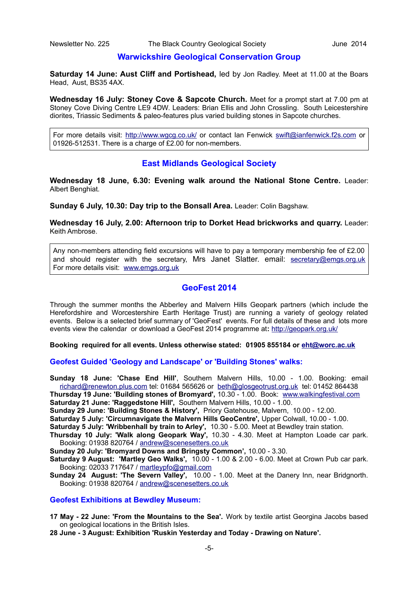#### **Warwickshire Geological Conservation Group**

**Saturday 14 June: Aust Cliff and Portishead,** led by Jon Radley. Meet at 11.00 at the Boars Head, Aust, BS35 4AX.

**Wednesday 16 July: Stoney Cove & Sapcote Church.** Meet for a prompt start at 7.00 pm at Stoney Cove Diving Centre LE9 4DW. Leaders: Brian Ellis and John Crossling. South Leicestershire diorites, Triassic Sediments & paleo-features plus varied building stones in Sapcote churches.

For more details visit:<http://www.wgcg.co.uk/>or contact Ian Fenwick [swift@ianfenwick.f2s.com](mailto:swift@ianfenwick.f2s.com) or 01926-512531. There is a charge of £2.00 for non-members.

# **East Midlands Geological Society**

**Wednesday 18 June, 6.30: Evening walk around the National Stone Centre.** Leader: Albert Benghiat.

**Sunday 6 July, 10.30: Day trip to the Bonsall Area.** Leader: Colin Bagshaw.

**Wednesday 16 July, 2.00: Afternoon trip to Dorket Head brickworks and quarry.** Leader: Keith Ambrose.

Any non-members attending field excursions will have to pay a temporary membership fee of £2.00 and should register with the secretary, Mrs Janet Slatter. email: [secretary@emgs.org.uk](mailto:secretary@emgs.org.uk) For more details visit: [www.emgs.org.uk](http://www.emgs.org.uk/)

# **GeoFest 2014**

Through the summer months the Abberley and Malvern Hills Geopark partners (which include the Herefordshire and Worcestershire Earth Heritage Trust) are running a variety of geology related events. Below is a selected brief summary of 'GeoFest' events. For full details of these and lots more events view the calendar or download a GeoFest 2014 programme at**:** [http://geopark.org.uk/](http://geopark.org.uk/pub/wp-content/uploads/2014/04/GeoFest-2014-programme-of-events.pdf)

**Booking required for all events. Unless otherwise stated: 01905 855184 or [eht@worc.ac.uk](mailto:eht@worc.ac.uk)**

**Geofest Guided 'Geology and Landscape' or 'Building Stones' walks:**

**Sunday 18 June: 'Chase End Hill'**, Southern Malvern Hills, 10.00 - 1.00. Booking: email [richard@renewton.plus.com](mailto:richard@renewton.plus.com) tel: 01684 565626 or [beth@glosgeotrust.org.uk](mailto:beth@glosgeotrust.org.uk) tel: 01452 864438 **Thursday 19 June: 'Building stones of Bromyard',** 10.30 - 1.00. Book: [www.walkingfestival.com](http://www.walkingfestival.com/)

**Saturday 21 June: 'Raggedstone Hill',** Southern Malvern Hills, 10.00 - 1.00.

**Sunday 29 June: 'Building Stones & History',** Priory Gatehouse, Malvern, 10.00 - 12.00.

**Saturday 5 July: 'Circumnavigate the Malvern Hills GeoCentre',** Upper Colwall, 10.00 - 1.00.

**Saturday 5 July: 'Wribbenhall by train to Arley',** 10.30 - 5.00. Meet at Bewdley train station.

**Thursday 10 July: 'Walk along Geopark Way',** 10.30 - 4.30. Meet at Hampton Loade car park. Booking: 01938 820764 / [andrew@scenesetters.co.uk](mailto:andrew@scenesetters.co.uk)

**Sunday 20 July: 'Bromyard Downs and Bringsty Common',** 10.00 - 3.30.

**Saturday 9 August: 'Martley Geo Walks',** 10.00 - 1.00 & 2.00 - 6.00. Meet at Crown Pub car park. Booking: 02033 717647 / [martleypfo@gmail.com](mailto:martleypfo@gmail.com)

**Sunday 24 August: 'The Severn Valley',** 10.00 - 1.00. Meet at the Danery Inn, near Bridgnorth. Booking: 01938 820764 / [andrew@scenesetters.co.uk](mailto:andrew@scenesetters.co.uk)

#### **Geofest Exhibitions at Bewdley Museum:**

**17 May - 22 June: 'From the Mountains to the Sea'.** Work by textile artist Georgina Jacobs based on geological locations in the British Isles.

**28 June - 3 August: Exhibition 'Ruskin Yesterday and Today - Drawing on Nature'.**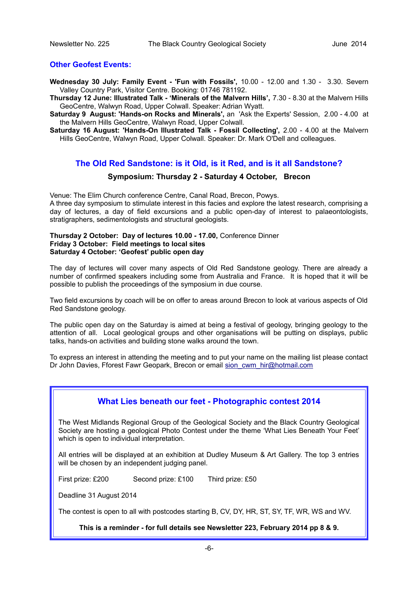# **Other Geofest Events:**

- **Wednesday 30 July: Family Event 'Fun with Fossils',** 10.00 12.00 and 1.30 3.30. Severn Valley Country Park, Visitor Centre. Booking: 01746 781192.
- **Thursday 12 June: Illustrated Talk 'Minerals of the Malvern Hills',** 7.30 8.30 at the Malvern Hills GeoCentre, Walwyn Road, Upper Colwall. Speaker: Adrian Wyatt.
- **Saturday 9 August: 'Hands-on Rocks and Minerals',** an 'Ask the Experts' Session, 2.00 4.00 at the Malvern Hills GeoCentre, Walwyn Road, Upper Colwall.
- **Saturday 16 August: 'Hands-On Illustrated Talk Fossil Collecting',** 2.00 4.00 at the Malvern Hills GeoCentre, Walwyn Road, Upper Colwall. Speaker: Dr. Mark O'Dell and colleagues.

# **The Old Red Sandstone: is it Old, is it Red, and is it all Sandstone?**

# **Symposium: Thursday 2 - Saturday 4 October, Brecon**

Venue: The Elim Church conference Centre, Canal Road, Brecon, Powys. A three day symposium to stimulate interest in this facies and explore the latest research, comprising a day of lectures, a day of field excursions and a public open-day of interest to palaeontologists, stratigraphers, sedimentologists and structural geologists.

# **Thursday 2 October: Day of lectures 10.00 - 17.00,** Conference Dinner **Friday 3 October: Field meetings to local sites Saturday 4 October: 'Geofest' public open day**

The day of lectures will cover many aspects of Old Red Sandstone geology. There are already a number of confirmed speakers including some from Australia and France. It is hoped that it will be possible to publish the proceedings of the symposium in due course.

Two field excursions by coach will be on offer to areas around Brecon to look at various aspects of Old Red Sandstone geology.

The public open day on the Saturday is aimed at being a festival of geology, bringing geology to the attention of all. Local geological groups and other organisations will be putting on displays, public talks, hands-on activities and building stone walks around the town.

To express an interest in attending the meeting and to put your name on the mailing list please contact Dr John Davies, Fforest Fawr Geopark, Brecon or email [sion\\_cwm\\_hir@hotmail.com](mailto:sion_cwm_hir@hotmail.com)

# **What Lies beneath our feet - Photographic contest 2014**

The West Midlands Regional Group of the Geological Society and the Black Country Geological Society are hosting a geological Photo Contest under the theme 'What Lies Beneath Your Feet' which is open to individual interpretation.

All entries will be displayed at an exhibition at Dudley Museum & Art Gallery. The top 3 entries will be chosen by an independent judging panel.

First prize: £200 Second prize: £100 Third prize: £50

Deadline 31 August 2014

The contest is open to all with postcodes starting B, CV, DY, HR, ST, SY, TF, WR, WS and WV.

**This is a reminder - for full details see Newsletter 223, February 2014 pp 8 & 9.**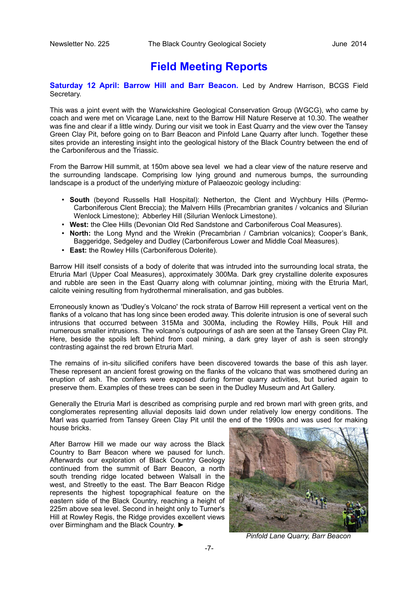# **Field Meeting Reports**

**Saturday 12 April: Barrow Hill and Barr Beacon.** Led by Andrew Harrison, BCGS Field Secretary.

This was a joint event with the Warwickshire Geological Conservation Group (WGCG), who came by coach and were met on Vicarage Lane, next to the Barrow Hill Nature Reserve at 10.30. The weather was fine and clear if a little windy. During our visit we took in East Quarry and the view over the Tansey Green Clay Pit, before going on to Barr Beacon and Pinfold Lane Quarry after lunch. Together these sites provide an interesting insight into the geological history of the Black Country between the end of the Carboniferous and the Triassic.

From the Barrow Hill summit, at 150m above sea level we had a clear view of the nature reserve and the surrounding landscape. Comprising low lying ground and numerous bumps, the surrounding landscape is a product of the underlying mixture of Palaeozoic geology including:

- **South** (beyond Russells Hall Hospital): Netherton, the Clent and Wychbury Hills (Permo-Carboniferous Clent Breccia); the Malvern Hills (Precambrian granites / volcanics and Silurian Wenlock Limestone); Abberley Hill (Silurian Wenlock Limestone).
- **West:** the Clee Hills (Devonian Old Red Sandstone and Carboniferous Coal Measures).
- **North:** the Long Mynd and the Wrekin (Precambrian / Cambrian volcanics); Cooper's Bank, Baggeridge, Sedgeley and Dudley (Carboniferous Lower and Middle Coal Measures).
- **East:** the Rowley Hills (Carboniferous Dolerite).

Barrow Hill itself consists of a body of dolerite that was intruded into the surrounding local strata, the Etruria Marl (Upper Coal Measures), approximately 300Ma. Dark grey crystalline dolerite exposures and rubble are seen in the East Quarry along with columnar jointing, mixing with the Etruria Marl, calcite veining resulting from hydrothermal mineralisation, and gas bubbles.

Erroneously known as 'Dudley's Volcano' the rock strata of Barrow Hill represent a vertical vent on the flanks of a volcano that has long since been eroded away. This dolerite intrusion is one of several such intrusions that occurred between 315Ma and 300Ma, including the Rowley Hills, Pouk Hill and numerous smaller intrusions. The volcano's outpourings of ash are seen at the Tansey Green Clay Pit. Here, beside the spoils left behind from coal mining, a dark grey layer of ash is seen strongly contrasting against the red brown Etruria Marl.

The remains of in-situ silicified conifers have been discovered towards the base of this ash layer. These represent an ancient forest growing on the flanks of the volcano that was smothered during an eruption of ash. The conifers were exposed during former quarry activities, but buried again to preserve them. Examples of these trees can be seen in the Dudley Museum and Art Gallery.

Generally the Etruria Marl is described as comprising purple and red brown marl with green grits, and conglomerates representing alluvial deposits laid down under relatively low energy conditions. The Marl was quarried from Tansey Green Clay Pit until the end of the 1990s and was used for making house bricks.

After Barrow Hill we made our way across the Black Country to Barr Beacon where we paused for lunch. Afterwards our exploration of Black Country Geology continued from the summit of Barr Beacon, a north south trending ridge located between Walsall in the west, and Streetly to the east. The Barr Beacon Ridge represents the highest topographical feature on the eastern side of the Black Country, reaching a height of 225m above sea level. Second in height only to Turner's Hill at Rowley Regis, the Ridge provides excellent views over Birmingham and the Black Country. ►



*Pinfold Lane Quarry, Barr Beacon*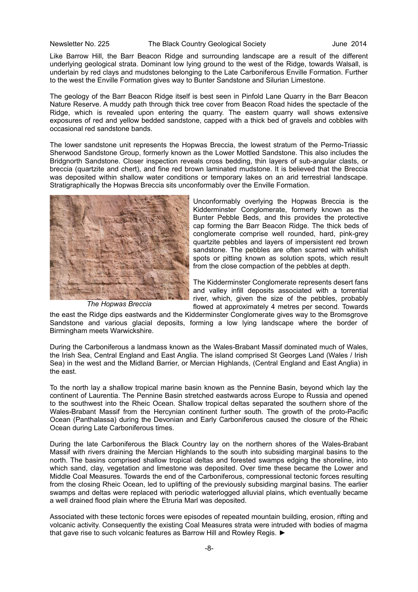Like Barrow Hill, the Barr Beacon Ridge and surrounding landscape are a result of the different underlying geological strata. Dominant low lying ground to the west of the Ridge, towards Walsall, is underlain by red clays and mudstones belonging to the Late Carboniferous Enville Formation. Further to the west the Enville Formation gives way to Bunter Sandstone and Silurian Limestone.

The geology of the Barr Beacon Ridge itself is best seen in Pinfold Lane Quarry in the Barr Beacon Nature Reserve. A muddy path through thick tree cover from Beacon Road hides the spectacle of the Ridge, which is revealed upon entering the quarry. The eastern quarry wall shows extensive exposures of red and yellow bedded sandstone, capped with a thick bed of gravels and cobbles with occasional red sandstone bands.

The lower sandstone unit represents the Hopwas Breccia, the lowest stratum of the Permo-Triassic Sherwood Sandstone Group, formerly known as the Lower Mottled Sandstone. This also includes the Bridgnorth Sandstone. Closer inspection reveals cross bedding, thin layers of sub-angular clasts, or breccia (quartzite and chert), and fine red brown laminated mudstone. It is believed that the Breccia was deposited within shallow water conditions or temporary lakes on an arid terrestrial landscape. Stratigraphically the Hopwas Breccia sits unconformably over the Enville Formation.



*The Hopwas Breccia*

Unconformably overlying the Hopwas Breccia is the Kidderminster Conglomerate, formerly known as the Bunter Pebble Beds, and this provides the protective cap forming the Barr Beacon Ridge. The thick beds of conglomerate comprise well rounded, hard, pink-grey quartzite pebbles and layers of impersistent red brown sandstone. The pebbles are often scarred with whitish spots or pitting known as solution spots, which result from the close compaction of the pebbles at depth.

The Kidderminster Conglomerate represents desert fans and valley infill deposits associated with a torrential river, which, given the size of the pebbles, probably flowed at approximately 4 metres per second. Towards

the east the Ridge dips eastwards and the Kidderminster Conglomerate gives way to the Bromsgrove Sandstone and various glacial deposits, forming a low lying landscape where the border of Birmingham meets Warwickshire.

During the Carboniferous a landmass known as the Wales-Brabant Massif dominated much of Wales, the Irish Sea, Central England and East Anglia. The island comprised St Georges Land (Wales / Irish Sea) in the west and the Midland Barrier, or Mercian Highlands, (Central England and East Anglia) in the east.

To the north lay a shallow tropical marine basin known as the Pennine Basin, beyond which lay the continent of Laurentia. The Pennine Basin stretched eastwards across Europe to Russia and opened to the southwest into the Rheic Ocean. Shallow tropical deltas separated the southern shore of the Wales-Brabant Massif from the Hercynian continent further south. The growth of the proto-Pacific Ocean (Panthalassa) during the Devonian and Early Carboniferous caused the closure of the Rheic Ocean during Late Carboniferous times.

During the late Carboniferous the Black Country lay on the northern shores of the Wales-Brabant Massif with rivers draining the Mercian Highlands to the south into subsiding marginal basins to the north. The basins comprised shallow tropical deltas and forested swamps edging the shoreline, into which sand, clay, vegetation and limestone was deposited. Over time these became the Lower and Middle Coal Measures. Towards the end of the Carboniferous, compressional tectonic forces resulting from the closing Rheic Ocean, led to uplifting of the previously subsiding marginal basins. The earlier swamps and deltas were replaced with periodic waterlogged alluvial plains, which eventually became a well drained flood plain where the Etruria Marl was deposited.

Associated with these tectonic forces were episodes of repeated mountain building, erosion, rifting and volcanic activity. Consequently the existing Coal Measures strata were intruded with bodies of magma that gave rise to such volcanic features as Barrow Hill and Rowley Regis. ►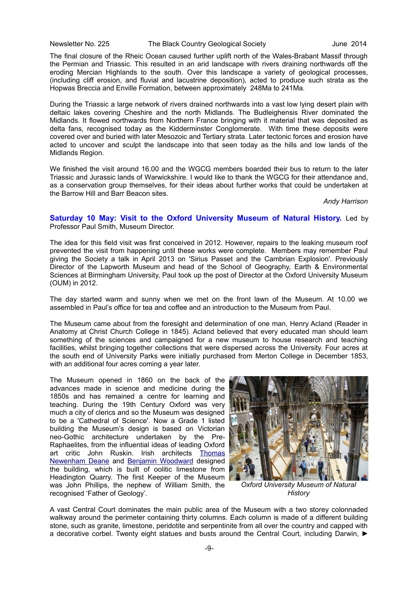Newsletter No. 225 The Black Country Geological Society June 2014

The final closure of the Rheic Ocean caused further uplift north of the Wales-Brabant Massif through the Permian and Triassic. This resulted in an arid landscape with rivers draining northwards off the eroding Mercian Highlands to the south. Over this landscape a variety of geological processes, (including cliff erosion, and fluvial and lacustrine deposition), acted to produce such strata as the Hopwas Breccia and Enville Formation, between approximately 248Ma to 241Ma.

During the Triassic a large network of rivers drained northwards into a vast low lying desert plain with deltaic lakes covering Cheshire and the north Midlands. The Budleighensis River dominated the Midlands. It flowed northwards from Northern France bringing with it material that was deposited as delta fans, recognised today as the Kidderminster Conglomerate. With time these deposits were covered over and buried with later Mesozoic and Tertiary strata. Later tectonic forces and erosion have acted to uncover and sculpt the landscape into that seen today as the hills and low lands of the Midlands Region.

We finished the visit around 16.00 and the WGCG members boarded their bus to return to the later Triassic and Jurassic lands of Warwickshire. I would like to thank the WGCG for their attendance and, as a conservation group themselves, for their ideas about further works that could be undertaken at the Barrow Hill and Barr Beacon sites.

*Andy Harrison*

# **Saturday 10 May: Visit to the Oxford University Museum of Natural History.** Led by Professor Paul Smith, Museum Director.

The idea for this field visit was first conceived in 2012. However, repairs to the leaking museum roof prevented the visit from happening until these works were complete. Members may remember Paul giving the Society a talk in April 2013 on 'Sirius Passet and the Cambrian Explosion'. Previously Director of the Lapworth Museum and head of the School of Geography, Earth & Environmental Sciences at Birmingham University, Paul took up the post of Director at the Oxford University Museum (OUM) in 2012.

The day started warm and sunny when we met on the front lawn of the Museum. At 10.00 we assembled in Paul's office for tea and coffee and an introduction to the Museum from Paul.

The Museum came about from the foresight and determination of one man, Henry Acland (Reader in Anatomy at Christ Church College in 1845). Acland believed that every educated man should learn something of the sciences and campaigned for a new museum to house research and teaching facilities, whilst bringing together collections that were dispersed across the University. Four acres at the south end of University Parks were initially purchased from Merton College in December 1853, with an additional four acres coming a year later.

The Museum opened in 1860 on the back of the advances made in science and medicine during the 1850s and has remained a centre for learning and teaching. During the 19th Century Oxford was very much a city of clerics and so the Museum was designed to be a 'Cathedral of Science'. Now a Grade 1 listed building the Museum's design is based on Victorian neo-Gothic architecture undertaken by the Pre-Raphaelites, from the influential ideas of leading Oxford art critic John Ruskin. Irish architects [Thomas](http://en.wikipedia.org/wiki/Thomas_Newenham_Deane) [Newenham Deane](http://en.wikipedia.org/wiki/Thomas_Newenham_Deane) and [Benjamin Woodward](http://en.wikipedia.org/wiki/Benjamin_Woodward) designed the building, which is built of oolitic limestone from Headington Quarry. The first Keeper of the Museum was John Phillips, the nephew of William Smith, the recognised 'Father of Geology'.



*Oxford University Museum of Natural History*

A vast Central Court dominates the main public area of the Museum with a two storey colonnaded walkway around the perimeter containing thirty columns. Each column is made of a different building stone, such as granite, limestone, peridotite and serpentinite from all over the country and capped with a decorative corbel. Twenty eight statues and busts around the Central Court, including Darwin, ►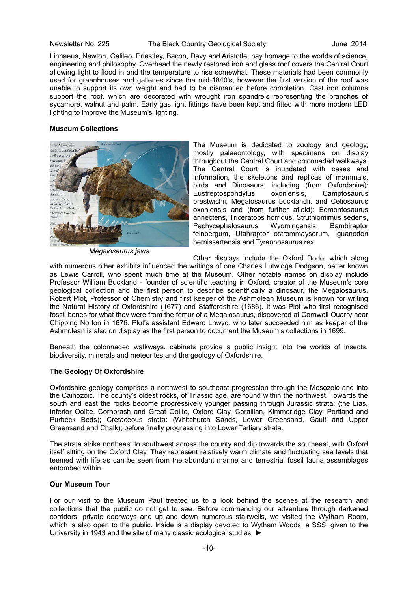#### Newsletter No. 225 The Black Country Geological Society June 2014

Linnaeus, Newton, Galileo, Priestley, Bacon, Davy and Aristotle, pay homage to the worlds of science, engineering and philosophy. Overhead the newly restored iron and glass roof covers the Central Court allowing light to flood in and the temperature to rise somewhat. These materials had been commonly used for greenhouses and galleries since the mid-1840's, however the first version of the roof was unable to support its own weight and had to be dismantled before completion. Cast iron columns support the roof, which are decorated with wrought iron spandrels representing the branches of sycamore, walnut and palm. Early gas light fittings have been kept and fitted with more modern LED lighting to improve the Museum's lighting.

#### **Museum Collections**



*Megalosaurus jaws*

The Museum is dedicated to zoology and geology, mostly palaeontology, with specimens on display throughout the Central Court and colonnaded walkways. The Central Court is inundated with cases and information, the skeletons and replicas of mammals, birds and Dinosaurs, including (from Oxfordshire): Eustreptospondylus oxoniensis, Camptosaurus prestwichii, Megalosaurus bucklandii, and Cetiosaurus oxoniensis and (from further afield): Edmontosaurus annectens, Triceratops horridus, Struthiomimus sedens, Pachycephalosaurus Wyomingensis, Bambiraptor feinbergum, Utahraptor ostrommaysorum, Iguanodon bernissartensis and Tyrannosaurus rex.

Other displays include the Oxford Dodo, which along

with numerous other exhibits influenced the writings of one Charles Lutwidge Dodgson, better known as Lewis Carroll, who spent much time at the Museum. Other notable names on display include Professor William Buckland - founder of scientific teaching in Oxford, creator of the Museum's core geological collection and the first person to describe scientifically a dinosaur, the Megalosaurus. Robert Plot, Professor of Chemistry and first keeper of the Ashmolean Museum is known for writing the Natural History of Oxfordshire (1677) and Staffordshire (1686). It was Plot who first recognised fossil bones for what they were from the femur of a Megalosaurus, discovered at Cornwell Quarry near Chipping Norton in 1676. Plot's assistant Edward Lhwyd, who later succeeded him as keeper of the Ashmolean is also on display as the first person to document the Museum's collections in 1699.

Beneath the colonnaded walkways, cabinets provide a public insight into the worlds of insects, biodiversity, minerals and meteorites and the geology of Oxfordshire.

# **The Geology Of Oxfordshire**

Oxfordshire geology comprises a northwest to southeast progression through the Mesozoic and into the Cainozoic. The county's oldest rocks, of Triassic age, are found within the northwest. Towards the south and east the rocks become progressively younger passing through Jurassic strata: (the Lias, Inferior Oolite, Cornbrash and Great Oolite, Oxford Clay, Corallian, Kimmeridge Clay, Portland and Purbeck Beds); Cretaceous strata: (Whitchurch Sands, Lower Greensand, Gault and Upper Greensand and Chalk); before finally progressing into Lower Tertiary strata.

The strata strike northeast to southwest across the county and dip towards the southeast, with Oxford itself sitting on the Oxford Clay. They represent relatively warm climate and fluctuating sea levels that teemed with life as can be seen from the abundant marine and terrestrial fossil fauna assemblages entombed within.

# **Our Museum Tour**

For our visit to the Museum Paul treated us to a look behind the scenes at the research and collections that the public do not get to see. Before commencing our adventure through darkened corridors, private doorways and up and down numerous stairwells, we visited the Wytham Room, which is also open to the public. Inside is a display devoted to Wytham Woods, a SSSI given to the University in 1943 and the site of many classic ecological studies. ►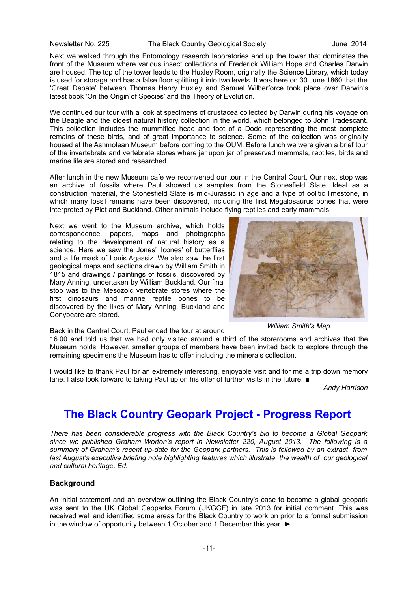#### Newsletter No. 225 The Black Country Geological Society Country 4014

Next we walked through the Entomology research laboratories and up the tower that dominates the front of the Museum where various insect collections of Frederick William Hope and Charles Darwin are housed. The top of the tower leads to the Huxley Room, originally the Science Library, which today is used for storage and has a false floor splitting it into two levels. It was here on 30 June 1860 that the 'Great Debate' between Thomas Henry Huxley and Samuel Wilberforce took place over Darwin's latest book 'On the Origin of Species' and the Theory of Evolution.

We continued our tour with a look at specimens of crustacea collected by Darwin during his voyage on the Beagle and the oldest natural history collection in the world, which belonged to John Tradescant. This collection includes the mummified head and foot of a Dodo representing the most complete remains of these birds, and of great importance to science. Some of the collection was originally housed at the Ashmolean Museum before coming to the OUM. Before lunch we were given a brief tour of the invertebrate and vertebrate stores where jar upon jar of preserved mammals, reptiles, birds and marine life are stored and researched.

After lunch in the new Museum cafe we reconvened our tour in the Central Court. Our next stop was an archive of fossils where Paul showed us samples from the Stonesfield Slate. Ideal as a construction material, the Stonesfield Slate is mid-Jurassic in age and a type of oolitic limestone, in which many fossil remains have been discovered, including the first Megalosaurus bones that were interpreted by Plot and Buckland. Other animals include flying reptiles and early mammals.

Next we went to the Museum archive, which holds correspondence, papers, maps and photographs relating to the development of natural history as a science. Here we saw the Jones' 'Icones' of butterflies and a life mask of Louis Agassiz. We also saw the first geological maps and sections drawn by William Smith in 1815 and drawings / paintings of fossils, discovered by Mary Anning, undertaken by William Buckland. Our final stop was to the Mesozoic vertebrate stores where the first dinosaurs and marine reptile bones to be discovered by the likes of Mary Anning, Buckland and Conybeare are stored.



Back in the Central Court, Paul ended the tour at around

16.00 and told us that we had only visited around a third of the storerooms and archives that the Museum holds. However, smaller groups of members have been invited back to explore through the remaining specimens the Museum has to offer including the minerals collection.

I would like to thank Paul for an extremely interesting, enjoyable visit and for me a trip down memory lane. I also look forward to taking Paul up on his offer of further visits in the future. ■

*Andy Harrison*

# **The Black Country Geopark Project - Progress Report**

*There has been considerable progress with the Black Country's bid to become a Global Geopark since we published Graham Worton's report in Newsletter 220, August 2013. The following is a summary of Graham's recent up-date for the Geopark partners. This is followed by an extract from last August's executive briefing note highlighting features which illustrate the wealth of our geological and cultural heritage. Ed.*

# **Background**

An initial statement and an overview outlining the Black Country's case to become a global geopark was sent to the UK Global Geoparks Forum (UKGGF) in late 2013 for initial comment. This was received well and identified some areas for the Black Country to work on prior to a formal submission in the window of opportunity between 1 October and 1 December this year. ►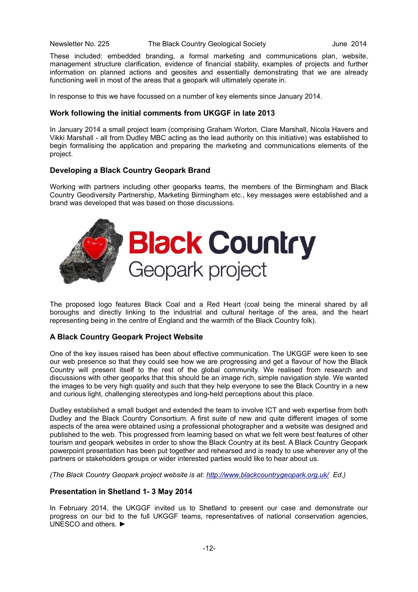These included: embedded branding, a formal marketing and communications plan, website, management structure clarification, evidence of financial stability, examples of projects and further information on planned actions and geosites and essentially demonstrating that we are already functioning well in most of the areas that a geopark will ultimately operate in.

In response to this we have focussed on a number of key elements since January 2014.

# **Work following the initial comments from UKGGF in late 2013**

In January 2014 a small project team (comprising Graham Worton, Clare Marshall, Nicola Havers and Vikki Marshall - all from Dudley MBC acting as the lead authority on this initiative) was established to begin formalising the application and preparing the marketing and communications elements of the project.

# **Developing a Black Country Geopark Brand**

Working with partners including other geoparks teams, the members of the Birmingham and Black Country Geodiversity Partnership, Marketing Birmingham etc., key messages were established and a brand was developed that was based on those discussions.



The proposed logo features Black Coal and a Red Heart (coal being the mineral shared by all boroughs and directly linking to the industrial and cultural heritage of the area, and the heart representing being in the centre of England and the warmth of the Black Country folk).

# **A Black Country Geopark Project Website**

One of the key issues raised has been about effective communication. The UKGGF were keen to see our web presence so that they could see how we are progressing and get a flavour of how the Black Country will present itself to the rest of the global community. We realised from research and discussions with other geoparks that this should be an image rich, simple navigation style. We wanted the images to be very high quality and such that they help everyone to see the Black Country in a new and curious light, challenging stereotypes and long-held perceptions about this place.

Dudley established a small budget and extended the team to involve ICT and web expertise from both Dudley and the Black Country Consortium. A first suite of new and quite different images of some aspects of the area were obtained using a professional photographer and a website was designed and published to the web. This progressed from learning based on what we felt were best features of other tourism and geopark websites in order to show the Black Country at its best. A Black Country Geopark powerpoint presentation has been put together and rehearsed and is ready to use wherever any of the partners or stakeholders groups or wider interested parties would like to hear about us.

*(The Black Country Geopark project website is at:<http://www.blackcountrygeopark.org.uk/>Ed.)*

# **Presentation in Shetland 1- 3 May 2014**

In February 2014, the UKGGF invited us to Shetland to present our case and demonstrate our progress on our bid to the full UKGGF teams, representatives of national conservation agencies, UNESCO and others. ►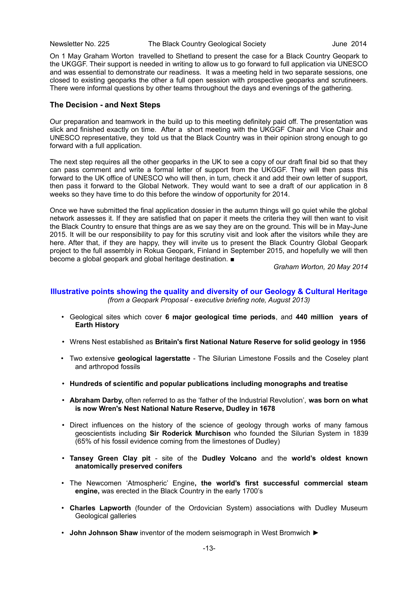On 1 May Graham Worton travelled to Shetland to present the case for a Black Country Geopark to the UKGGF. Their support is needed in writing to allow us to go forward to full application via UNESCO and was essential to demonstrate our readiness. It was a meeting held in two separate sessions, one closed to existing geoparks the other a full open session with prospective geoparks and scrutineers. There were informal questions by other teams throughout the days and evenings of the gathering.

# **The Decision - and Next Steps**

Our preparation and teamwork in the build up to this meeting definitely paid off. The presentation was slick and finished exactly on time. After a short meeting with the UKGGF Chair and Vice Chair and UNESCO representative, they told us that the Black Country was in their opinion strong enough to go forward with a full application.

The next step requires all the other geoparks in the UK to see a copy of our draft final bid so that they can pass comment and write a formal letter of support from the UKGGF. They will then pass this forward to the UK office of UNESCO who will then, in turn, check it and add their own letter of support, then pass it forward to the Global Network. They would want to see a draft of our application in 8 weeks so they have time to do this before the window of opportunity for 2014.

Once we have submitted the final application dossier in the autumn things will go quiet while the global network assesses it. If they are satisfied that on paper it meets the criteria they will then want to visit the Black Country to ensure that things are as we say they are on the ground. This will be in May-June 2015. It will be our responsibility to pay for this scrutiny visit and look after the visitors while they are here. After that, if they are happy, they will invite us to present the Black Country Global Geopark project to the full assembly in Rokua Geopark, Finland in September 2015, and hopefully we will then become a global geopark and global heritage destination. ■

*Graham Worton, 20 May 2014*

# **Illustrative points showing the quality and diversity of our Geology & Cultural Heritage** *(from a Geopark Proposal - executive briefing note, August 2013)*

- Geological sites which cover **6 major geological time periods**, and **440 million years of Earth History**
- Wrens Nest established as **Britain's first National Nature Reserve for solid geology in 1956**
- Two extensive **geological lagerstatte** The Silurian Limestone Fossils and the Coseley plant and arthropod fossils
- **Hundreds of scientific and popular publications including monographs and treatise**
- **Abraham Darby,** often referred to as the 'father of the Industrial Revolution', **was born on what is now Wren's Nest National Nature Reserve, Dudley in 1678**
- Direct influences on the history of the science of geology through works of many famous geoscientists including **Sir Roderick Murchison** who founded the Silurian System in 1839 (65% of his fossil evidence coming from the limestones of Dudley)
- **Tansey Green Clay pit** site of the **Dudley Volcano** and the **world's oldest known anatomically preserved conifers**
- The Newcomen 'Atmospheric' Engine**, the world's first successful commercial steam engine,** was erected in the Black Country in the early 1700's
- **Charles Lapworth** (founder of the Ordovician System) associations with Dudley Museum Geological galleries
- **John Johnson Shaw** inventor of the modern seismograph in West Bromwich ►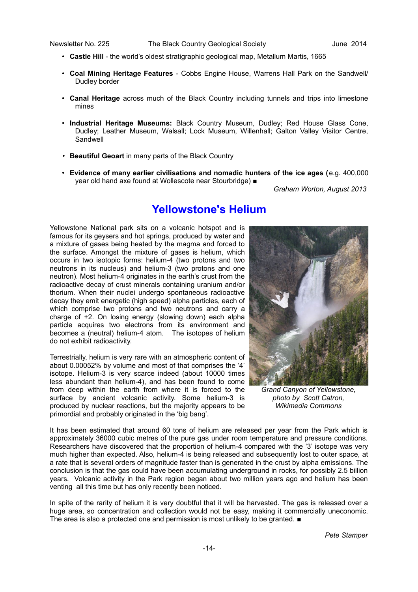- **Castle Hill** the world's oldest stratigraphic geological map, Metallum Martis, 1665
- **Coal Mining Heritage Features**  Cobbs Engine House, Warrens Hall Park on the Sandwell/ Dudley border
- **Canal Heritage** across much of the Black Country including tunnels and trips into limestone mines
- **Industrial Heritage Museums:** Black Country Museum, Dudley; Red House Glass Cone, Dudley; Leather Museum, Walsall; Lock Museum, Willenhall; Galton Valley Visitor Centre, Sandwell
- **Beautiful Geoart** in many parts of the Black Country
- **Evidence of many earlier civilisations and nomadic hunters of the ice ages (**e.g. 400,000 year old hand axe found at Wollescote near Stourbridge) ■

*Graham Worton, August 2013*

# **Yellowstone's Helium**

Yellowstone National park sits on a volcanic hotspot and is famous for its geysers and hot springs, produced by water and a mixture of gases being heated by the magma and forced to the surface. Amongst the mixture of gases is helium, which occurs in two isotopic forms: helium-4 (two protons and two neutrons in its nucleus) and helium-3 (two protons and one neutron). Most helium-4 originates in the earth's crust from the radioactive decay of crust minerals containing uranium and/or thorium. When their nuclei undergo spontaneous radioactive decay they emit energetic (high speed) alpha particles, each of which comprise two protons and two neutrons and carry a charge of +2. On losing energy (slowing down) each alpha particle acquires two electrons from its environment and becomes a (neutral) helium-4 atom. The isotopes of helium do not exhibit radioactivity.

Terrestrially, helium is very rare with an atmospheric content of about 0.00052% by volume and most of that comprises the '4' isotope. Helium-3 is very scarce indeed (about 10000 times less abundant than helium-4), and has been found to come from deep within the earth from where it is forced to the surface by ancient volcanic activity. Some helium-3 is produced by nuclear reactions, but the majority appears to be primordial and probably originated in the 'big bang'.



*Grand Canyon of Yellowstone, photo by Scott Catron, Wikimedia Commons*

It has been estimated that around 60 tons of helium are released per year from the Park which is approximately 36000 cubic metres of the pure gas under room temperature and pressure conditions. Researchers have discovered that the proportion of helium-4 compared with the '3' isotope was very much higher than expected. Also, helium-4 is being released and subsequently lost to outer space, at a rate that is several orders of magnitude faster than is generated in the crust by alpha emissions. The conclusion is that the gas could have been accumulating underground in rocks, for possibly 2.5 billion years. Volcanic activity in the Park region began about two million years ago and helium has been venting all this time but has only recently been noticed.

In spite of the rarity of helium it is very doubtful that it will be harvested. The gas is released over a huge area, so concentration and collection would not be easy, making it commercially uneconomic. The area is also a protected one and permission is most unlikely to be granted. ■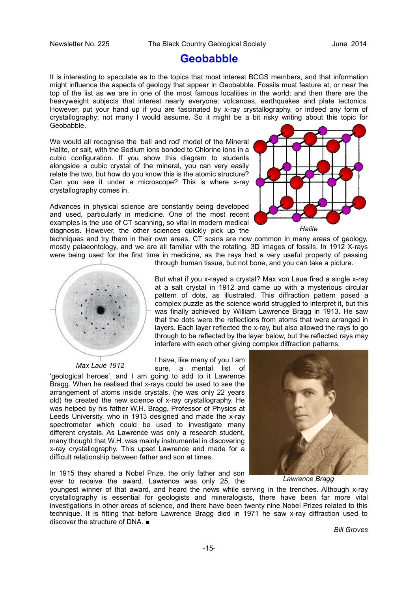# **Geobabble**

It is interesting to speculate as to the topics that most interest BCGS members, and that information might influence the aspects of geology that appear in Geobabble. Fossils must feature at, or near the top of the list as we are in one of the most famous localities in the world; and then there are the heavyweight subjects that interest nearly everyone: volcanoes, earthquakes and plate tectonics. However, put your hand up if you are fascinated by x-ray crystallography, or indeed any form of crystallography; not many I would assume. So it might be a bit risky writing about this topic for Geobabble.

We would all recognise the 'ball and rod' model of the Mineral Halite, or salt, with the Sodium ions bonded to Chlorine ions in a cubic configuration. If you show this diagram to students alongside a cubic crystal of the mineral, you can very easily relate the two, but how do you know this is the atomic structure? Can you see it under a microscope? This is where x-ray crystallography comes in.

Advances in physical science are constantly being developed and used, particularly in medicine. One of the most recent examples is the use of CT scanning, so vital in modern medical diagnosis. However, the other sciences quickly pick up the



techniques and try them in their own areas. CT scans are now common in many areas of geology, mostly palaeontology, and we are all familiar with the rotating, 3D images of fossils. In 1912 X-rays were being used for the first time in medicine, as the rays had a very useful property of passing through human tissue, but not bone, and you can take a picture.



*Max Laue 1912*

But what if you x-rayed a crystal? Max von Laue fired a single x-ray at a salt crystal in 1912 and came up with a mysterious circular pattern of dots, as illustrated. This diffraction pattern posed a complex puzzle as the science world struggled to interpret it, but this was finally achieved by William Lawrence Bragg in 1913. He saw that the dots were the reflections from atoms that were arranged in layers. Each layer reflected the x-ray, but also allowed the rays to go through to be reflected by the layer below, but the reflected rays may interfere with each other giving complex diffraction patterns.

I have, like many of you I am sure, a mental list of

'geological heroes', and I am going to add to it Lawrence Bragg. When he realised that x-rays could be used to see the arrangement of atoms inside crystals, (he was only 22 years old) he created the new science of x-ray crystallography. He was helped by his father W.H. Bragg, Professor of Physics at Leeds University, who in 1913 designed and made the x-ray spectrometer which could be used to investigate many different crystals. As Lawrence was only a research student, many thought that W.H. was mainly instrumental in discovering x-ray crystallography. This upset Lawrence and made for a difficult relationship between father and son at times.

In 1915 they shared a Nobel Prize, the only father and son ever to receive the award. Lawrence was only 25, the



*Lawrence Bragg*

youngest winner of that award, and heard the news while serving in the trenches. Although x-ray crystallography is essential for geologists and mineralogists, there have been far more vital investigations in other areas of science, and there have been twenty nine Nobel Prizes related to this technique. It is fitting that before Lawrence Bragg died in 1971 he saw x-ray diffraction used to discover the structure of DNA. ■

*Bill Groves*